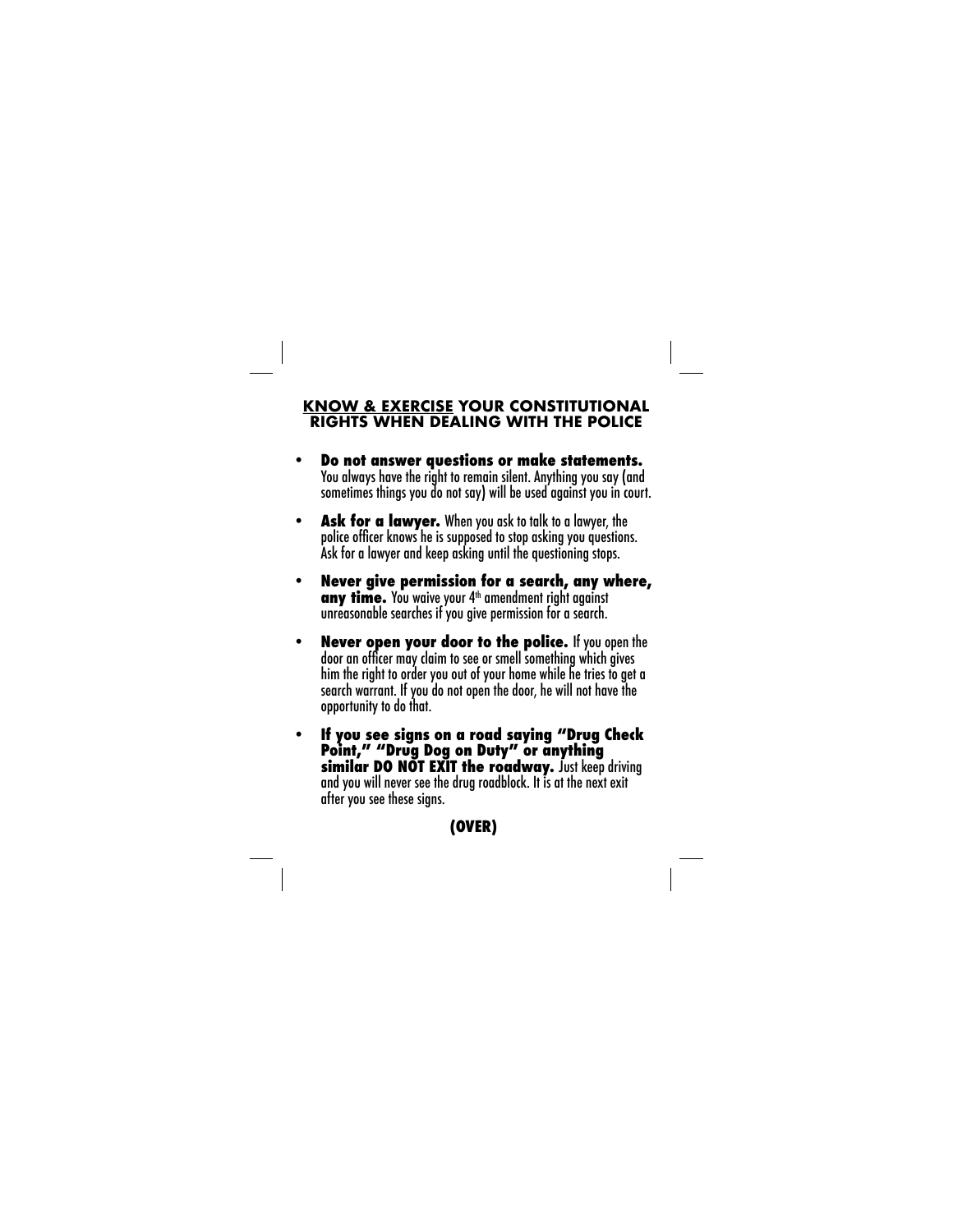## **KNOW & EXERCISE YOUR CONSTITUTIONAL RIGHTS WHEN DEALING WITH THE POLICE**

- **Do not answer questions or make statements.** You always have the right to remain silent. Anything you say (and sometimes things you do not say) will be used against you in court.
- **Ask for a lawyer.** When you ask to talk to a lawyer, the police officer knows he is supposed to stop asking you questions. Ask for a lawyer and keep asking until the questioning stops.
- **Never give permission for a search, any where, any time.** You waive your 4<sup>th</sup> amendment right against unreasonable searches if you give permission for a search.
- **Never open your door to the police.** If you open the door an officer may claim to see or smell something which gives him the right to order you out of your home while he tries to get a search warrant. If you do not open the door, he will not have the opportunity to do that.
- **If you see signs on a road saying "Drug Check Point," "Drug Dog on Duty" or anything similar DO NOT EXIT the roadway.** Just keep driving and you will never see the drug roadblock. It is at the next exit after you see these signs.

## **(OVER)**